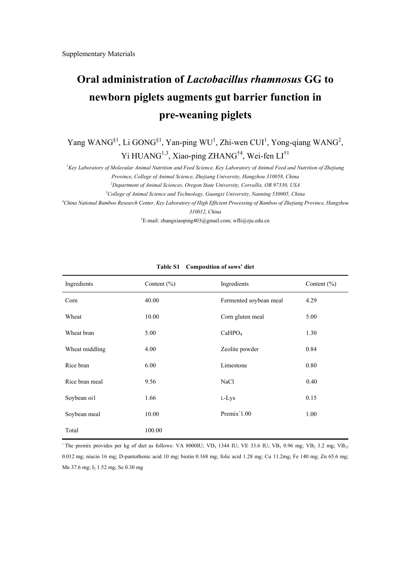## **Oral administration of** *Lactobacillus rhamnosus* **GG to newborn piglets augments gut barrier function in pre-weaning piglets**

Yang WANG<sup>§1</sup>, Li GONG<sup>§1</sup>, Yan-ping WU<sup>1</sup>, Zhi-wen CUI<sup>1</sup>, Yong-qiang WANG<sup>2</sup>, Yi HUANG<sup>1,3</sup>, Xiao-ping ZHANG<sup>†4</sup>, Wei-fen LI<sup>†1</sup>

*1 Key Laboratory of Molecular Animal Nutrition and Feed Science, Key Laboratory of Animal Feed and Nutrition of Zhejiang* 

*Province, College of Animal Science, Zhejiang University, Hangzhou 310058, China* 

*2 Department of Animal Sciences, Oregon State University, Corvallis, OR 97330, USA* 

*3 College of Animal Science and Technology, Guangxi University, Nanning 530005, China* 

*4 China National Bamboo Research Center, Key Laboratory of High Efficient Processing of Bamboo of Zhejiang Province, Hangzhou 310012, China* 

† E-mail: zhangxiaoping403@gmail.com; wfli@zju.edu.cn

| Ingredients    | Content $(\% )$ | Ingredients            | Content $(\% )$ |
|----------------|-----------------|------------------------|-----------------|
| Corn           | 40.00           | Fermented soybean meal | 4.29            |
| Wheat          | 10.00           | Corn gluten meal       | 5.00            |
| Wheat bran     | 5.00            | CaHPO <sub>4</sub>     | 1.30            |
| Wheat middling | 4.00            | Zeolite powder         | 0.84            |
| Rice bran      | 6.00            | Limestone              | 0.80            |
| Rice bran meal | 9.56            | NaCl                   | 0.40            |
| Soybean oi1    | 1.66            | L-Lys                  | 0.15            |
| Soybean meal   | 10.00           | $Premix^*1.00$         | 1.00            |
| Total          | 100.00          |                        |                 |

## **Table S1 Composition of sows' diet**

<sup>\*</sup> The premix provides per kg of diet as follows: VA 8000IU; VD<sub>3</sub> 1344 IU; VE 33.6 IU; VB<sub>1</sub> 0.96 mg; VB<sub>2</sub> 3.2 mg; VB<sub>12</sub> 0.012 mg; niacin 16 mg; D-pantothenic acid 10 mg; biotin 0.168 mg; folic acid 1.28 mg; Cu 11.2mg; Fe 140 mg; Zn 65.6 mg; Mn 37.6 mg; I2 1.52 mg; Se 0.30 mg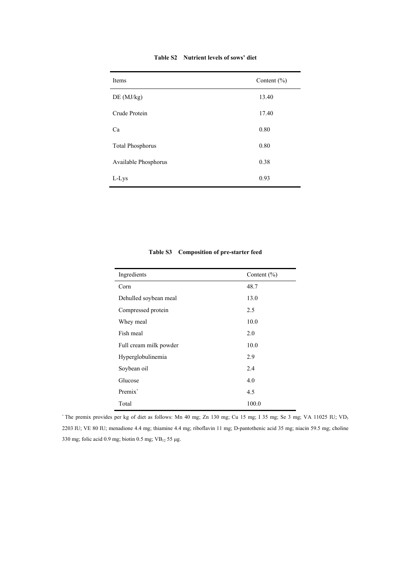| Table S2 Nutrient levels of sows' diet |  |  |
|----------------------------------------|--|--|
|                                        |  |  |

| Items                   | Content $(\% )$ |
|-------------------------|-----------------|
| DE(MJ/kg)               | 13.40           |
| Crude Protein           | 17.40           |
| Ca                      | 0.80            |
| <b>Total Phosphorus</b> | 0.80            |
| Available Phosphorus    | 0.38            |
| L-Lys                   | 0.93            |

| Ingredients            | Content $(\% )$ |
|------------------------|-----------------|
| Corn                   | 48.7            |
| Dehulled soybean meal  | 13.0            |
| Compressed protein     | 2.5             |
| Whey meal              | 10.0            |
| Fish meal              | 2.0             |
| Full cream milk powder | 10.0            |
| Hyperglobulinemia      | 2.9             |
| Soybean oil            | 2.4             |
| Glucose                | 4.0             |
| Premix <sup>*</sup>    | 4.5             |
| Total                  | 100.0           |

## **Table S3 Composition of pre-starter feed**

\* The premix provides per kg of diet as follows: Mn 40 mg; Zn 130 mg; Cu 15 mg; I 35 mg; Se 3 mg; VA 11025 IU; VD3 2203 IU; VE 80 IU; menadione 4.4 mg; thiamine 4.4 mg; riboflavin 11 mg; D-pantothenic acid 35 mg; niacin 59.5 mg; choline 330 mg; folic acid 0.9 mg; biotin 0.5 mg;  $VB_{12}$  55 µg.